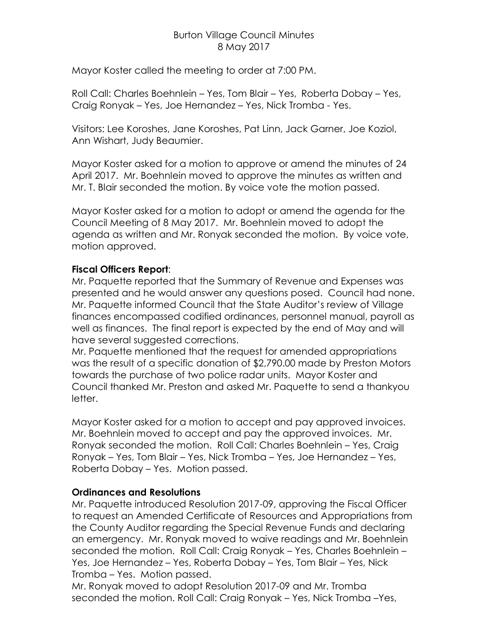## Burton Village Council Minutes 8 May 2017

Mayor Koster called the meeting to order at 7:00 PM.

Roll Call: Charles Boehnlein – Yes, Tom Blair – Yes, Roberta Dobay – Yes, Craig Ronyak – Yes, Joe Hernandez – Yes, Nick Tromba - Yes.

Visitors: Lee Koroshes, Jane Koroshes, Pat Linn, Jack Garner, Joe Koziol, Ann Wishart, Judy Beaumier.

Mayor Koster asked for a motion to approve or amend the minutes of 24 April 2017. Mr. Boehnlein moved to approve the minutes as written and Mr. T. Blair seconded the motion. By voice vote the motion passed.

Mayor Koster asked for a motion to adopt or amend the agenda for the Council Meeting of 8 May 2017. Mr. Boehnlein moved to adopt the agenda as written and Mr. Ronyak seconded the motion. By voice vote, motion approved.

# **Fiscal Officers Report**:

Mr. Paquette reported that the Summary of Revenue and Expenses was presented and he would answer any questions posed. Council had none. Mr. Paquette informed Council that the State Auditor's review of Village finances encompassed codified ordinances, personnel manual, payroll as well as finances. The final report is expected by the end of May and will have several suggested corrections.

Mr. Paquette mentioned that the request for amended appropriations was the result of a specific donation of \$2,790.00 made by Preston Motors towards the purchase of two police radar units. Mayor Koster and Council thanked Mr. Preston and asked Mr. Paquette to send a thankyou letter.

Mayor Koster asked for a motion to accept and pay approved invoices. Mr. Boehnlein moved to accept and pay the approved invoices. Mr. Ronyak seconded the motion. Roll Call: Charles Boehnlein – Yes, Craig Ronyak – Yes, Tom Blair – Yes, Nick Tromba – Yes, Joe Hernandez – Yes, Roberta Dobay – Yes. Motion passed.

## **Ordinances and Resolutions**

Mr. Paquette introduced Resolution 2017-09, approving the Fiscal Officer to request an Amended Certificate of Resources and Appropriations from the County Auditor regarding the Special Revenue Funds and declaring an emergency. Mr. Ronyak moved to waive readings and Mr. Boehnlein seconded the motion. Roll Call: Craig Ronyak – Yes, Charles Boehnlein – Yes, Joe Hernandez – Yes, Roberta Dobay – Yes, Tom Blair – Yes, Nick Tromba – Yes. Motion passed.

Mr. Ronyak moved to adopt Resolution 2017-09 and Mr. Tromba seconded the motion. Roll Call: Craig Ronyak – Yes, Nick Tromba –Yes,